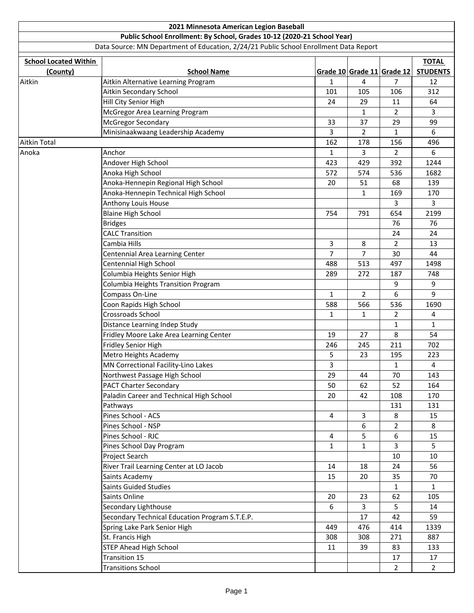|                              | 2021 Minnesota American Legion Baseball                                               |                |              |                            |                 |
|------------------------------|---------------------------------------------------------------------------------------|----------------|--------------|----------------------------|-----------------|
|                              | Public School Enrollment: By School, Grades 10-12 (2020-21 School Year)               |                |              |                            |                 |
|                              | Data Source: MN Department of Education, 2/24/21 Public School Enrollment Data Report |                |              |                            |                 |
| <b>School Located Within</b> |                                                                                       |                |              |                            | <b>TOTAL</b>    |
| (County)                     | <b>School Name</b>                                                                    |                |              | Grade 10 Grade 11 Grade 12 | <b>STUDENTS</b> |
| Aitkin                       | Aitkin Alternative Learning Program                                                   | $\mathbf{1}$   | 4            | 7                          | 12              |
|                              | Aitkin Secondary School                                                               | 101            | 105          | 106                        | 312             |
|                              | Hill City Senior High                                                                 | 24             | 29           | 11                         | 64              |
|                              | McGregor Area Learning Program                                                        |                | 1            | $\overline{2}$             | 3               |
|                              | McGregor Secondary                                                                    | 33             | 37           | 29                         | 99              |
|                              | Minisinaakwaang Leadership Academy                                                    | 3              | 2            | $\mathbf{1}$               | 6               |
| <b>Aitkin Total</b>          |                                                                                       | 162            | 178          | 156                        | 496             |
| Anoka                        | Anchor                                                                                | $\mathbf{1}$   | 3            | $\overline{2}$             | 6               |
|                              | Andover High School                                                                   | 423            | 429          | 392                        | 1244            |
|                              | Anoka High School                                                                     | 572            | 574          | 536                        | 1682            |
|                              | Anoka-Hennepin Regional High School                                                   | 20             | 51           | 68                         | 139             |
|                              | Anoka-Hennepin Technical High School                                                  |                | 1            | 169                        | 170             |
|                              | Anthony Louis House                                                                   |                |              | 3                          | 3               |
|                              | <b>Blaine High School</b>                                                             | 754            | 791          | 654                        | 2199            |
|                              | <b>Bridges</b>                                                                        |                |              | 76                         | 76              |
|                              | <b>CALC Transition</b>                                                                |                |              | 24                         | 24              |
|                              | Cambia Hills                                                                          | 3              | 8            | 2                          | 13              |
|                              | Centennial Area Learning Center                                                       | $\overline{7}$ | 7            | 30                         | 44              |
|                              | Centennial High School                                                                | 488            | 513          | 497                        | 1498            |
|                              | Columbia Heights Senior High                                                          | 289            | 272          | 187                        | 748             |
|                              | Columbia Heights Transition Program                                                   |                |              | 9                          | 9               |
|                              | Compass On-Line                                                                       | 1              | 2            | 6                          | 9               |
|                              | Coon Rapids High School                                                               | 588            | 566          | 536                        | 1690            |
|                              | Crossroads School                                                                     | 1              | $\mathbf{1}$ | $\overline{2}$             | 4               |
|                              | Distance Learning Indep Study                                                         |                |              | $\mathbf{1}$               | $\mathbf{1}$    |
|                              | Fridley Moore Lake Area Learning Center                                               | 19             | 27           | 8                          | 54              |
|                              | Fridley Senior High                                                                   | 246            | 245          | 211                        | 702             |
|                              | Metro Heights Academy                                                                 | 5              | 23           | 195                        | 223             |
|                              | MN Correctional Facility-Lino Lakes                                                   | 3              |              | 1                          | 4               |
|                              | Northwest Passage High School                                                         | 29             | 44           | 70                         | 143             |
|                              | <b>PACT Charter Secondary</b>                                                         | 50             | 62           | 52                         | 164             |
|                              | Paladin Career and Technical High School                                              | 20             | 42           | 108                        | 170             |
|                              | Pathways                                                                              |                |              | 131                        | 131             |
|                              | Pines School - ACS                                                                    | 4              | 3            | 8                          | 15              |
|                              | Pines School - NSP                                                                    |                | 6            | $\overline{2}$             | 8               |
|                              | Pines School - RJC                                                                    | 4              | 5            | 6                          | 15              |
|                              | Pines School Day Program                                                              | $\mathbf{1}$   | $\mathbf 1$  | $\overline{3}$             | 5               |
|                              | Project Search                                                                        |                |              | 10                         | 10              |
|                              | River Trail Learning Center at LO Jacob                                               | 14             | 18           | 24                         | 56              |
|                              | Saints Academy                                                                        | 15             | 20           | 35                         | 70              |
|                              | <b>Saints Guided Studies</b>                                                          |                |              | $\mathbf{1}$               | $\mathbf{1}$    |
|                              | Saints Online                                                                         | 20             | 23           | 62                         | 105             |
|                              | Secondary Lighthouse                                                                  | 6              | 3            | 5                          | 14              |
|                              | Secondary Technical Education Program S.T.E.P.                                        |                | 17           | 42                         | 59              |
|                              | Spring Lake Park Senior High                                                          | 449            | 476          | 414                        | 1339            |
|                              | St. Francis High                                                                      | 308            | 308          | 271                        | 887             |
|                              | <b>STEP Ahead High School</b>                                                         | 11             | 39           | 83                         | 133             |
|                              | Transition 15                                                                         |                |              | 17                         | 17              |
|                              | <b>Transitions School</b>                                                             |                |              | $\overline{2}$             | $\overline{2}$  |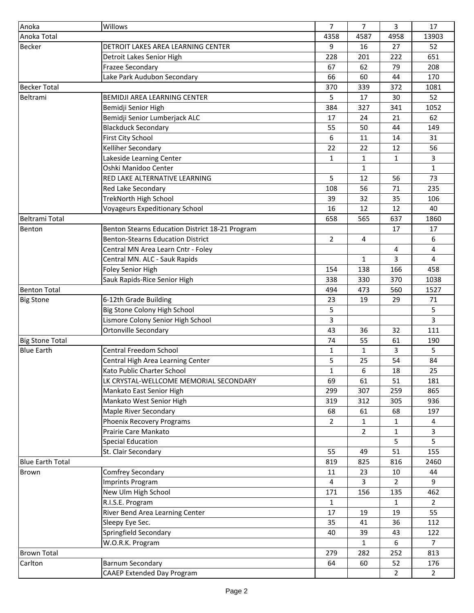| Anoka                   | Willows                                         | 7              | 7              | 3              | 17             |
|-------------------------|-------------------------------------------------|----------------|----------------|----------------|----------------|
| Anoka Total             |                                                 | 4358           | 4587           | 4958           | 13903          |
| <b>Becker</b>           | DETROIT LAKES AREA LEARNING CENTER              | 9              | 16             | 27             | 52             |
|                         | Detroit Lakes Senior High                       | 228            | 201            | 222            | 651            |
|                         | <b>Frazee Secondary</b>                         | 67             | 62             | 79             | 208            |
|                         | Lake Park Audubon Secondary                     | 66             | 60             | 44             | 170            |
| <b>Becker Total</b>     |                                                 | 370            | 339            | 372            | 1081           |
| Beltrami                | <b>BEMIDJI AREA LEARNING CENTER</b>             | 5              | 17             | 30             | 52             |
|                         | Bemidji Senior High                             | 384            | 327            | 341            | 1052           |
|                         | Bemidji Senior Lumberjack ALC                   | 17             | 24             | 21             | 62             |
|                         | <b>Blackduck Secondary</b>                      | 55             | 50             | 44             | 149            |
|                         | First City School                               | 6              | 11             | 14             | 31             |
|                         | Kelliher Secondary                              | 22             | 22             | 12             | 56             |
|                         | Lakeside Learning Center                        | $\mathbf{1}$   | 1              | 1              | 3              |
|                         | Oshki Manidoo Center                            |                | 1              |                | $\mathbf{1}$   |
|                         | RED LAKE ALTERNATIVE LEARNING                   | 5              | 12             | 56             | 73             |
|                         | Red Lake Secondary                              | 108            | 56             | 71             | 235            |
|                         | TrekNorth High School                           | 39             | 32             | 35             | 106            |
|                         | Voyageurs Expeditionary School                  | 16             | 12             | 12             | 40             |
| Beltrami Total          |                                                 | 658            | 565            | 637            | 1860           |
| Benton                  | Benton Stearns Education District 18-21 Program |                |                | 17             | 17             |
|                         | <b>Benton-Stearns Education District</b>        | $\overline{2}$ | 4              |                | 6              |
|                         | Central MN Area Learn Cntr - Foley              |                |                | 4              | 4              |
|                         | Central MN. ALC - Sauk Rapids                   |                | $\mathbf{1}$   | 3              | 4              |
|                         | <b>Foley Senior High</b>                        | 154            | 138            | 166            | 458            |
|                         | Sauk Rapids-Rice Senior High                    | 338            | 330            | 370            | 1038           |
| <b>Benton Total</b>     |                                                 | 494            | 473            | 560            | 1527           |
| <b>Big Stone</b>        | 6-12th Grade Building                           | 23             | 19             | 29             | 71             |
|                         | Big Stone Colony High School                    | 5              |                |                | 5              |
|                         | Lismore Colony Senior High School               | 3              |                |                | 3              |
|                         | Ortonville Secondary                            | 43             | 36             | 32             | 111            |
| <b>Big Stone Total</b>  |                                                 | 74             | 55             | 61             | 190            |
| <b>Blue Earth</b>       | Central Freedom School                          | 1              | $\mathbf{1}$   | 3              | 5              |
|                         | Central High Area Learning Center               | 5              | 25             | 54             | 84             |
|                         | Kato Public Charter School                      | 1              | 6              | 18             | 25             |
|                         | LK CRYSTAL-WELLCOME MEMORIAL SECONDARY          | 69             | 61             | 51             | 181            |
|                         | Mankato East Senior High                        | 299            | 307            | 259            | 865            |
|                         | Mankato West Senior High                        | 319            | 312            | 305            | 936            |
|                         | Maple River Secondary                           | 68             | 61             | 68             | 197            |
|                         | Phoenix Recovery Programs                       | $\overline{2}$ | $\mathbf{1}$   | 1              | 4              |
|                         | Prairie Care Mankato                            |                | $\overline{2}$ | 1              | 3              |
|                         | <b>Special Education</b>                        |                |                | 5              | 5              |
|                         | St. Clair Secondary                             | 55             | 49             | 51             | 155            |
| <b>Blue Earth Total</b> |                                                 | 819            | 825            | 816            | 2460           |
| <b>Brown</b>            | Comfrey Secondary                               | 11             | 23             | 10             | 44             |
|                         | <b>Imprints Program</b>                         | 4              | 3              | 2              | 9              |
|                         | New Ulm High School                             | 171            | 156            | 135            | 462            |
|                         | R.I.S.E. Program                                | $\mathbf{1}$   |                | $\mathbf{1}$   | $\overline{2}$ |
|                         | River Bend Area Learning Center                 | 17             | 19             | 19             | 55             |
|                         | Sleepy Eye Sec.                                 | 35             | 41             | 36             | 112            |
|                         | Springfield Secondary                           | 40             | 39             | 43             | 122            |
|                         | W.O.R.K. Program                                |                | $\mathbf{1}$   | 6              | $\overline{7}$ |
| <b>Brown Total</b>      |                                                 | 279            | 282            | 252            | 813            |
| Carlton                 | <b>Barnum Secondary</b>                         | 64             | 60             | 52             | 176            |
|                         | <b>CAAEP Extended Day Program</b>               |                |                | $\overline{2}$ | $2^{\circ}$    |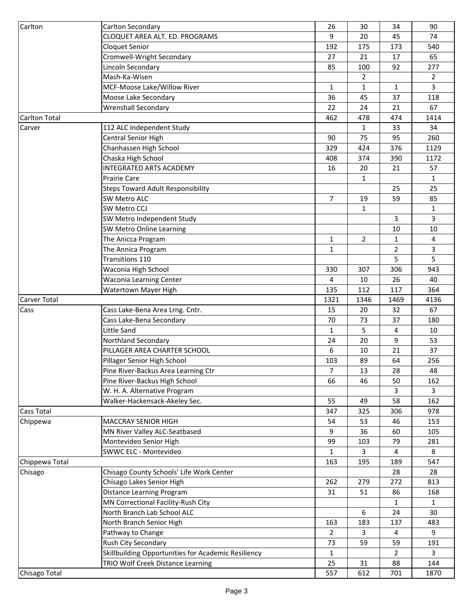| Carlton              | Carlton Secondary                                                          | 26                    | 30             | 34             | 90             |
|----------------------|----------------------------------------------------------------------------|-----------------------|----------------|----------------|----------------|
|                      | CLOQUET AREA ALT. ED. PROGRAMS                                             | 9                     | 20             | 45             | 74             |
|                      | <b>Cloquet Senior</b>                                                      | 192                   | 175            | 173            | 540            |
|                      | Cromwell-Wright Secondary                                                  | 27                    | 21             | 17             | 65             |
|                      | Lincoln Secondary                                                          | 85                    | 100            | 92             | 277            |
|                      | Mash-Ka-Wisen                                                              |                       | 2              |                | $\overline{2}$ |
|                      | MCF-Moose Lake/Willow River                                                | 1                     | $\mathbf{1}$   | 1              | 3              |
|                      | Moose Lake Secondary                                                       | 36                    | 45             | 37             | 118            |
|                      | <b>Wrenshall Secondary</b>                                                 | 22                    | 24             | 21             | 67             |
| <b>Carlton Total</b> |                                                                            | 462                   | 478            | 474            | 1414           |
| Carver               | 112 ALC Independent Study                                                  |                       | $\mathbf{1}$   | 33             | 34             |
|                      | Central Senior High                                                        | 90                    | 75             | 95             | 260            |
|                      | Chanhassen High School                                                     | 329                   | 424            | 376            | 1129           |
|                      | Chaska High School                                                         | 408                   | 374            | 390            | 1172           |
|                      | <b>INTEGRATED ARTS ACADEMY</b>                                             | 16                    | 20             | 21             | 57             |
|                      | <b>Prairie Care</b>                                                        |                       | $\mathbf{1}$   |                | $\mathbf{1}$   |
|                      | <b>Steps Toward Adult Responsibility</b>                                   |                       |                | 25             | 25             |
|                      | SW Metro ALC                                                               | 7                     | 19             | 59             | 85             |
|                      | SW Metro CCJ                                                               |                       | $\mathbf{1}$   |                | $\mathbf{1}$   |
|                      | SW Metro Independent Study                                                 |                       |                | $\mathbf{3}$   | 3              |
|                      | SW Metro Online Learning                                                   |                       |                | 10             | 10             |
|                      | The Anicca Program                                                         | 1                     | $\overline{2}$ | $\mathbf{1}$   | 4              |
|                      | The Annica Program                                                         | 1                     |                | 2              | 3              |
|                      | Transitions 110                                                            |                       |                | 5              | 5              |
|                      | Waconia High School                                                        | 330                   | 307            | 306            | 943            |
|                      | Waconia Learning Center                                                    | 4                     | 10             | 26             | 40             |
|                      | Watertown Mayer High                                                       | 135                   | 112            | 117            | 364            |
| Carver Total         |                                                                            | 1321                  | 1346           | 1469           | 4136           |
| Cass                 | Cass Lake-Bena Area Lrng. Cntr.                                            | 15                    | 20             | 32             | 67             |
|                      | Cass Lake-Bena Secondary                                                   | 70                    | 73             | 37             | 180            |
|                      | Little Sand                                                                | $\mathbf{1}$          | 5              | $\overline{4}$ | 10             |
|                      | Northland Secondary                                                        | 24                    | 20             | 9              | 53             |
|                      | PILLAGER AREA CHARTER SCHOOL                                               | 6                     | 10             | 21             | 37             |
|                      | Pillager Senior High School                                                | 103                   | 89             | 64             | 256            |
|                      | Pine River-Backus Area Learning Ctr                                        | 7                     | 13             | 28             | 48             |
|                      | Pine River-Backus High School                                              | 66                    | 46             | 50             | 162            |
|                      | W. H. A. Alternative Program                                               |                       |                | 3              | 3              |
|                      | Walker-Hackensack-Akeley Sec.                                              | 55                    | 49             | 58             | 162            |
| <b>Cass Total</b>    |                                                                            | 347                   | 325            | 306            | 978            |
| Chippewa             | <b>MACCRAY SENIOR HIGH</b>                                                 | 54                    | 53             | 46             | 153            |
|                      | MN River Valley ALC-Seatbased                                              | 9                     | 36             | 60             | 105            |
|                      | Montevideo Senior High                                                     | 99                    | 103            | 79             | 281            |
|                      | SWWC ELC - Montevideo                                                      | $\mathbf{1}$          | $\overline{3}$ | 4              | 8              |
| Chippewa Total       |                                                                            | 163                   | 195            | 189            | 547            |
| Chisago              | Chisago County Schools' Life Work Center                                   |                       |                | 28             | 28             |
|                      | Chisago Lakes Senior High                                                  | 262                   | 279            | 272            | 813            |
|                      | Distance Learning Program                                                  | 31                    | 51             | 86             | 168            |
|                      | MN Correctional Facility-Rush City                                         |                       |                | $\mathbf{1}$   | $\mathbf{1}$   |
|                      | North Branch Lab School ALC                                                |                       | 6              | 24             | 30             |
|                      | North Branch Senior High                                                   |                       | 183            | 137            | 483            |
|                      | Pathway to Change                                                          | 163<br>$\overline{2}$ | $\overline{3}$ | 4              | 9              |
|                      |                                                                            | 73                    | 59             | 59             | 191            |
|                      | Rush City Secondary<br>Skillbuilding Opportunities for Academic Resiliency | $\mathbf{1}$          |                | $\overline{2}$ | 3              |
|                      | TRIO Wolf Creek Distance Learning                                          | 25                    | 31             | 88             | 144            |
|                      |                                                                            |                       |                |                |                |
| Chisago Total        |                                                                            | 557                   | 612            | 701            | 1870           |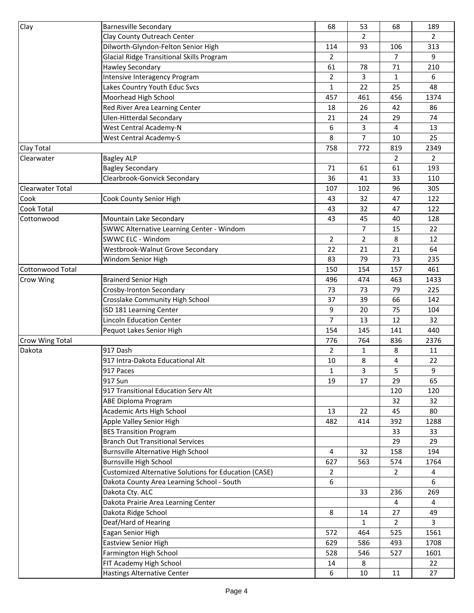| Clay                    | <b>Barnesville Secondary</b>                                 | 68             | 53             | 68             | 189            |
|-------------------------|--------------------------------------------------------------|----------------|----------------|----------------|----------------|
|                         | Clay County Outreach Center                                  |                | $\overline{2}$ |                | $\overline{2}$ |
|                         | Dilworth-Glyndon-Felton Senior High                          | 114            | 93             | 106            | 313            |
|                         | <b>Glacial Ridge Transitional Skills Program</b>             | $\overline{2}$ |                | $\overline{7}$ | 9              |
|                         | <b>Hawley Secondary</b>                                      | 61             | 78             | 71             | 210            |
|                         | Intensive Interagency Program                                | $\overline{2}$ | 3              | 1              | 6              |
|                         | Lakes Country Youth Educ Svcs                                | 1              | 22             | 25             | 48             |
|                         | Moorhead High School                                         | 457            | 461            | 456            | 1374           |
|                         | Red River Area Learning Center                               | 18             | 26             | 42             | 86             |
|                         | <b>Ulen-Hitterdal Secondary</b>                              | 21             | 24             | 29             | 74             |
|                         | West Central Academy-N                                       | 6              | 3              | 4              | 13             |
|                         | West Central Academy-S                                       | 8              | $\overline{7}$ | 10             | 25             |
| Clay Total              |                                                              | 758            | 772            | 819            | 2349           |
| Clearwater              | <b>Bagley ALP</b>                                            |                |                | $\overline{2}$ | $\overline{2}$ |
|                         | <b>Bagley Secondary</b>                                      | 71             | 61             | 61             | 193            |
|                         | Clearbrook-Gonvick Secondary                                 | 36             | 41             | 33             | 110            |
| <b>Clearwater Total</b> |                                                              | 107            | 102            | 96             | 305            |
| Cook                    | Cook County Senior High                                      | 43             | 32             | 47             | 122            |
| <b>Cook Total</b>       |                                                              | 43             | 32             | 47             | 122            |
| Cottonwood              | Mountain Lake Secondary                                      | 43             | 45             | 40             | 128            |
|                         | SWWC Alternative Learning Center - Windom                    |                | $\overline{7}$ | 15             | 22             |
|                         | SWWC ELC - Windom                                            | $\overline{2}$ | $\overline{2}$ | 8              | 12             |
|                         | Westbrook-Walnut Grove Secondary                             | 22             | 21             | 21             | 64             |
|                         | Windom Senior High                                           | 83             | 79             | 73             | 235            |
| <b>Cottonwood Total</b> |                                                              | 150            | 154            | 157            | 461            |
| Crow Wing               | <b>Brainerd Senior High</b>                                  | 496            | 474            | 463            | 1433           |
|                         | Crosby-Ironton Secondary                                     | 73             | 73             | 79             | 225            |
|                         | Crosslake Community High School                              | 37             | 39             | 66             | 142            |
|                         | ISD 181 Learning Center                                      | 9              | 20             | 75             | 104            |
|                         | <b>Lincoln Education Center</b>                              | 7              | 13             | 12             | 32             |
|                         | Pequot Lakes Senior High                                     | 154            | 145            | 141            | 440            |
| Crow Wing Total         |                                                              | 776            | 764            | 836            | 2376           |
| Dakota                  | 917 Dash                                                     | $\overline{2}$ | $\mathbf{1}$   | 8              | 11             |
|                         | 917 Intra-Dakota Educational Alt                             | 10             | 8              | 4              | 22             |
|                         | 917 Paces                                                    | 1              | 3              | 5              | 9              |
|                         | 917 Sun                                                      | 19             | 17             | 29             | 65             |
|                         | 917 Transitional Education Serv Alt                          |                |                | 120            | 120            |
|                         | <b>ABE Diploma Program</b>                                   |                |                | 32             | 32             |
|                         | Academic Arts High School                                    | 13             | 22             | 45             | 80             |
|                         | Apple Valley Senior High                                     | 482            | 414            | 392            | 1288           |
|                         | <b>BES Transition Program</b>                                |                |                | 33             | 33             |
|                         | <b>Branch Out Transitional Services</b>                      |                |                | 29             | 29             |
|                         | Burnsville Alternative High School                           | $\overline{4}$ | 32             | 158            | 194            |
|                         | <b>Burnsville High School</b>                                | 627            | 563            | 574            | 1764           |
|                         | <b>Customized Alternative Solutions for Education (CASE)</b> | $\overline{2}$ |                | $\overline{2}$ | 4              |
|                         | Dakota County Area Learning School - South                   | 6              |                |                | 6              |
|                         | Dakota Cty. ALC                                              |                | 33             | 236            | 269            |
|                         | Dakota Prairie Area Learning Center                          |                |                | 4              | 4              |
|                         | Dakota Ridge School                                          | 8              | 14             | 27             | 49             |
|                         | Deaf/Hard of Hearing                                         |                | $\mathbf{1}$   | $\overline{2}$ | 3              |
|                         | Eagan Senior High                                            | 572            | 464            | 525            | 1561           |
|                         | <b>Eastview Senior High</b>                                  | 629            | 586            | 493            | 1708           |
|                         | Farmington High School                                       | 528            | 546            | 527            | 1601           |
|                         | FIT Academy High School                                      | 14             | 8              |                | 22             |
|                         | <b>Hastings Alternative Center</b>                           | 6              | 10             | 11             | 27             |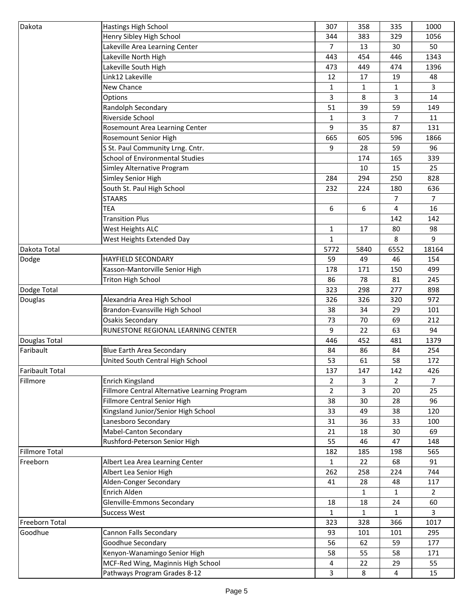| Dakota                 | Hastings High School                          | 307            | 358          | 335            | 1000                 |
|------------------------|-----------------------------------------------|----------------|--------------|----------------|----------------------|
|                        | Henry Sibley High School                      | 344            | 383          | 329            | 1056                 |
|                        | Lakeville Area Learning Center                | $\overline{7}$ | 13           | 30             | 50                   |
|                        | Lakeville North High                          | 443            | 454          | 446            | 1343                 |
|                        | Lakeville South High                          | 473            | 449          | 474            | 1396                 |
|                        | Link12 Lakeville                              | 12             | 17           | 19             | 48                   |
|                        | New Chance                                    | 1              | $\mathbf{1}$ | 1              | 3                    |
|                        | Options                                       | 3              | 8            | 3              | 14                   |
|                        | Randolph Secondary                            | 51             | 39           | 59             | 149                  |
|                        | Riverside School                              | 1              | 3            | $\overline{7}$ | 11                   |
|                        | Rosemount Area Learning Center                | 9              | 35           | 87             | 131                  |
|                        | Rosemount Senior High                         | 665            | 605          | 596            | 1866                 |
|                        | S St. Paul Community Lrng. Cntr.              | 9              | 28           | 59             | 96                   |
|                        | <b>School of Environmental Studies</b>        |                | 174          | 165            | 339                  |
|                        | Simley Alternative Program                    |                | 10           | 15             | 25                   |
|                        | Simley Senior High                            | 284            | 294          | 250            | 828                  |
|                        | South St. Paul High School                    | 232            | 224          | 180            | 636                  |
|                        | <b>STAARS</b>                                 |                |              | 7              | $\overline{7}$       |
|                        | <b>TEA</b>                                    | 6              | 6            | 4              | 16                   |
|                        | <b>Transition Plus</b>                        |                |              | 142            | 142                  |
|                        | West Heights ALC                              | $\mathbf{1}$   | 17           | 80             | 98                   |
|                        | West Heights Extended Day                     | $\mathbf{1}$   |              | 8              | 9                    |
| Dakota Total           |                                               | 5772           | 5840         | 6552           | 18164                |
| Dodge                  | <b>HAYFIELD SECONDARY</b>                     | 59             | 49           | 46             | 154                  |
|                        | Kasson-Mantorville Senior High                | 178            | 171          | 150            | 499                  |
|                        | <b>Triton High School</b>                     | 86             | 78           | 81             | 245                  |
| Dodge Total            |                                               | 323            | 298          | 277            | 898                  |
| Douglas                | Alexandria Area High School                   | 326            | 326          | 320            | 972                  |
|                        | Brandon-Evansville High School                | 38             | 34           | 29             | 101                  |
|                        | <b>Osakis Secondary</b>                       | 73             | 70           | 69             | 212                  |
|                        | RUNESTONE REGIONAL LEARNING CENTER            | 9              | 22           | 63             | 94                   |
| Douglas Total          |                                               | 446            | 452          | 481            | 1379                 |
| Faribault              | <b>Blue Earth Area Secondary</b>              | 84             | 86           | 84             | 254                  |
|                        | United South Central High School              | 53             | 61           | 58             | 172                  |
| <b>Faribault Total</b> |                                               | 137            | 147          | 142            | 426                  |
| Fillmore               | Enrich Kingsland                              | $\overline{2}$ | 3            | $\overline{2}$ | $\overline{7}$       |
|                        | Fillmore Central Alternative Learning Program | $\overline{2}$ | 3            | 20             | 25                   |
|                        | Fillmore Central Senior High                  | 38             | 30           | 28             | 96                   |
|                        | Kingsland Junior/Senior High School           | 33             | 49           | 38             | 120                  |
|                        | Lanesboro Secondary                           | 31             | 36           | 33             | 100                  |
|                        | Mabel-Canton Secondary                        | 21             | 18           | 30             | 69                   |
|                        | Rushford-Peterson Senior High                 | 55             | 46           | 47             | 148                  |
| <b>Fillmore Total</b>  |                                               | 182            | 185          | 198            | 565                  |
| Freeborn               | Albert Lea Area Learning Center               | $\mathbf{1}$   | 22           | 68             | 91                   |
|                        | Albert Lea Senior High                        | 262            | 258          | 224            | 744                  |
|                        | Alden-Conger Secondary                        |                | 28           | 48             | 117                  |
|                        | Enrich Alden                                  | 41             |              |                |                      |
|                        | Glenville-Emmons Secondary                    |                | 1            | 1              | $\overline{2}$<br>60 |
|                        |                                               | 18             | 18           | 24             |                      |
|                        | <b>Success West</b>                           | $\mathbf{1}$   | $\mathbf{1}$ | $\mathbf{1}$   | 3                    |
| Freeborn Total         |                                               | 323            | 328          | 366            | 1017                 |
| Goodhue                | Cannon Falls Secondary                        | 93             | 101          | 101            | 295                  |
|                        | Goodhue Secondary                             | 56             | 62           | 59             | 177                  |
|                        | Kenyon-Wanamingo Senior High                  | 58             | 55           | 58             | 171                  |
|                        | MCF-Red Wing, Maginnis High School            | 4              | 22           | 29             | 55                   |
|                        | Pathways Program Grades 8-12                  | 3              | 8            | 4              | 15                   |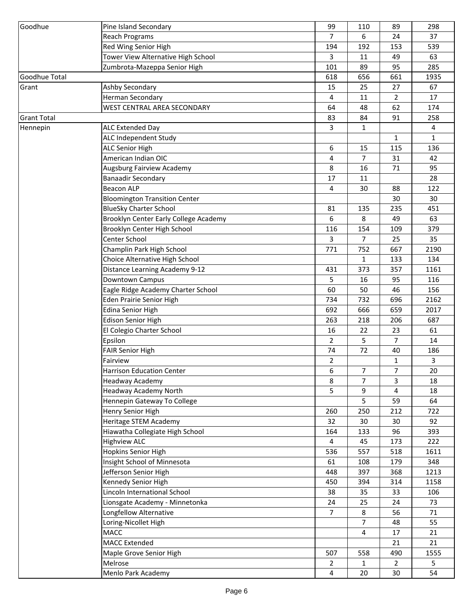| Goodhue            | Pine Island Secondary                 | 99             | 110            | 89                       | 298          |
|--------------------|---------------------------------------|----------------|----------------|--------------------------|--------------|
|                    | <b>Reach Programs</b>                 | $\overline{7}$ | 6              | 24                       | 37           |
|                    | Red Wing Senior High                  | 194            | 192            | 153                      | 539          |
|                    | Tower View Alternative High School    | 3              | 11             | 49                       | 63           |
|                    | Zumbrota-Mazeppa Senior High          | 101            | 89             | 95                       | 285          |
| Goodhue Total      |                                       | 618            | 656            | 661                      | 1935         |
| Grant              | Ashby Secondary                       | 15             | 25             | 27                       | 67           |
|                    | Herman Secondary                      | 4              | 11             | 2                        | 17           |
|                    | WEST CENTRAL AREA SECONDARY           | 64             | 48             | 62                       | 174          |
| <b>Grant Total</b> |                                       | 83             | 84             | 91                       | 258          |
| Hennepin           | <b>ALC Extended Day</b>               | 3              | 1              |                          | 4            |
|                    | ALC Independent Study                 |                |                | 1                        | $\mathbf{1}$ |
|                    | <b>ALC Senior High</b>                | 6              | 15             | 115                      | 136          |
|                    | American Indian OIC                   | 4              | 7              | 31                       | 42           |
|                    | Augsburg Fairview Academy             | 8              | 16             | 71                       | 95           |
|                    | <b>Banaadir Secondary</b>             | 17             | 11             |                          | 28           |
|                    | <b>Beacon ALP</b>                     | 4              | 30             | 88                       | 122          |
|                    | <b>Bloomington Transition Center</b>  |                |                | 30                       | 30           |
|                    | <b>BlueSky Charter School</b>         | 81             | 135            | 235                      | 451          |
|                    | Brooklyn Center Early College Academy | 6              | 8              | 49                       | 63           |
|                    | Brooklyn Center High School           | 116            | 154            | 109                      | 379          |
|                    | Center School                         | 3              | 7              | 25                       | 35           |
|                    | Champlin Park High School             | 771            | 752            | 667                      | 2190         |
|                    | Choice Alternative High School        |                | $\mathbf{1}$   | 133                      | 134          |
|                    | Distance Learning Academy 9-12        | 431            | 373            | 357                      | 1161         |
|                    | <b>Downtown Campus</b>                | 5              | 16             | 95                       | 116          |
|                    | Eagle Ridge Academy Charter School    | 60             | 50             | 46                       | 156          |
|                    | Eden Prairie Senior High              | 734            | 732            | 696                      | 2162         |
|                    | <b>Edina Senior High</b>              | 692            | 666            | 659                      | 2017         |
|                    | <b>Edison Senior High</b>             | 263            | 218            | 206                      | 687          |
|                    | El Colegio Charter School             | 16             | 22             | 23                       | 61           |
|                    | Epsilon                               | $\overline{2}$ | 5              | $\overline{7}$           | 14           |
|                    | <b>FAIR Senior High</b>               | 74             | 72             | 40                       | 186          |
|                    | Fairview                              | $\overline{2}$ |                | 1                        | 3            |
|                    | <b>Harrison Education Center</b>      | 6              | $\overline{7}$ | $\overline{\mathcal{I}}$ | 20           |
|                    | Headway Academy                       | 8              | 7              | 3                        | 18           |
|                    | <b>Headway Academy North</b>          | 5              | 9              | 4                        | 18           |
|                    | Hennepin Gateway To College           |                | 5              | 59                       | 64           |
|                    | Henry Senior High                     | 260            | 250            | 212                      | 722          |
|                    | Heritage STEM Academy                 | 32             | 30             | 30                       | 92           |
|                    | Hiawatha Collegiate High School       | 164            | 133            | 96                       | 393          |
|                    | <b>Highview ALC</b>                   | 4              | 45             | 173                      | 222          |
|                    | <b>Hopkins Senior High</b>            | 536            | 557            | 518                      | 1611         |
|                    | Insight School of Minnesota           | 61             | 108            | 179                      | 348          |
|                    | Jefferson Senior High                 | 448            | 397            | 368                      | 1213         |
|                    | Kennedy Senior High                   | 450            | 394            | 314                      | 1158         |
|                    | Lincoln International School          | 38             | 35             | 33                       | 106          |
|                    | Lionsgate Academy - Minnetonka        | 24             | 25             | 24                       | 73           |
|                    | Longfellow Alternative                | $\overline{7}$ | 8              | 56                       | 71           |
|                    | Loring-Nicollet High                  |                | 7              | 48                       | 55           |
|                    | <b>MACC</b>                           |                | 4              | 17                       | 21           |
|                    | <b>MACC Extended</b>                  |                |                | 21                       | 21           |
|                    | Maple Grove Senior High               | 507            | 558            | 490                      | 1555         |
|                    | Melrose                               | $\overline{2}$ | 1              | $\overline{2}$           | 5            |
|                    | Menlo Park Academy                    | 4              | 20             | 30                       | 54           |
|                    |                                       |                |                |                          |              |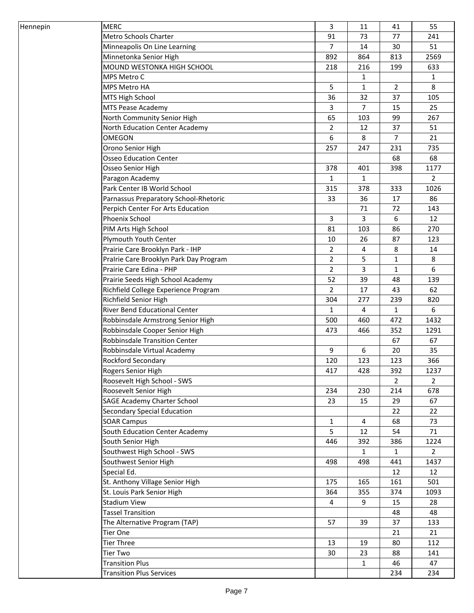| Hennepin | <b>MERC</b>                            | 3              | 11             | 41             | 55             |
|----------|----------------------------------------|----------------|----------------|----------------|----------------|
|          | <b>Metro Schools Charter</b>           | 91             | 73             | 77             | 241            |
|          | Minneapolis On Line Learning           | $\overline{7}$ | 14             | 30             | 51             |
|          | Minnetonka Senior High                 | 892            | 864            | 813            | 2569           |
|          | MOUND WESTONKA HIGH SCHOOL             | 218            | 216            | 199            | 633            |
|          | MPS Metro C                            |                | $\mathbf{1}$   |                | $\mathbf{1}$   |
|          | MPS Metro HA                           | 5              | $\mathbf{1}$   | $\overline{2}$ | 8              |
|          | MTS High School                        | 36             | 32             | 37             | 105            |
|          | <b>MTS Pease Academy</b>               | 3              | $\overline{7}$ | 15             | 25             |
|          | North Community Senior High            | 65             | 103            | 99             | 267            |
|          | North Education Center Academy         | $\overline{2}$ | 12             | 37             | 51             |
|          | <b>OMEGON</b>                          | 6              | 8              | 7              | 21             |
|          | Orono Senior High                      | 257            | 247            | 231            | 735            |
|          | <b>Osseo Education Center</b>          |                |                | 68             | 68             |
|          | Osseo Senior High                      | 378            | 401            | 398            | 1177           |
|          | Paragon Academy                        | $\mathbf{1}$   | 1              |                | $\overline{2}$ |
|          | Park Center IB World School            | 315            | 378            | 333            | 1026           |
|          | Parnassus Preparatory School-Rhetoric  | 33             | 36             | 17             | 86             |
|          | Perpich Center For Arts Education      |                | 71             | 72             | 143            |
|          | Phoenix School                         | $\mathbf{3}$   | 3              | 6              | 12             |
|          | PIM Arts High School                   | 81             | 103            | 86             | 270            |
|          | Plymouth Youth Center                  | 10             | 26             | 87             | 123            |
|          | Prairie Care Brooklyn Park - IHP       | $\overline{2}$ | 4              | 8              | 14             |
|          | Pralrie Care Brooklyn Park Day Program | $\overline{2}$ | 5              | 1              | 8              |
|          | Prairie Care Edina - PHP               | $\overline{2}$ | 3              | 1              | 6              |
|          | Prairie Seeds High School Academy      | 52             | 39             | 48             | 139            |
|          | Richfield College Experience Program   | $\overline{2}$ | 17             | 43             | 62             |
|          | Richfield Senior High                  | 304            | 277            | 239            | 820            |
|          | River Bend Educational Center          | 1              | 4              | 1              | 6              |
|          | Robbinsdale Armstrong Senior High      | 500            | 460            | 472            | 1432           |
|          | Robbinsdale Cooper Senior High         | 473            | 466            | 352            | 1291           |
|          | <b>Robbinsdale Transition Center</b>   |                |                | 67             | 67             |
|          | Robbinsdale Virtual Academy            | 9              | 6              | 20             | 35             |
|          | <b>Rockford Secondary</b>              | 120            | 123            | 123            | 366            |
|          | Rogers Senior High                     | 417            | 428            | 392            | 1237           |
|          | Roosevelt High School - SWS            |                |                | $\overline{2}$ | $\overline{2}$ |
|          | Roosevelt Senior High                  | 234            | 230            | 214            | 678            |
|          | <b>SAGE Academy Charter School</b>     | 23             | 15             | 29             | 67             |
|          | Secondary Special Education            |                |                | 22             | 22             |
|          | <b>SOAR Campus</b>                     | 1              | 4              | 68             | 73             |
|          | South Education Center Academy         | 5              | 12             | 54             | 71             |
|          | South Senior High                      | 446            | 392            | 386            | 1224           |
|          | Southwest High School - SWS            |                | $\mathbf{1}$   | $\mathbf{1}$   | $2^{\circ}$    |
|          | Southwest Senior High                  | 498            | 498            | 441            | 1437           |
|          | Special Ed.                            |                |                | 12             | 12             |
|          | St. Anthony Village Senior High        | 175            | 165            | 161            | 501            |
|          | St. Louis Park Senior High             | 364            | 355            | 374            | 1093           |
|          | <b>Stadium View</b>                    | 4              | 9              | 15             | 28             |
|          | <b>Tassel Transition</b>               |                |                | 48             | 48             |
|          | The Alternative Program (TAP)          | 57             | 39             | 37             | 133            |
|          | <b>Tier One</b>                        |                |                | 21             | 21             |
|          | <b>Tier Three</b>                      | 13             | 19             | 80             | 112            |
|          | <b>Tier Two</b>                        | 30             | 23             | 88             | 141            |
|          | <b>Transition Plus</b>                 |                | $\mathbf{1}$   | 46             | 47             |
|          | <b>Transition Plus Services</b>        |                |                | 234            | 234            |
|          |                                        |                |                |                |                |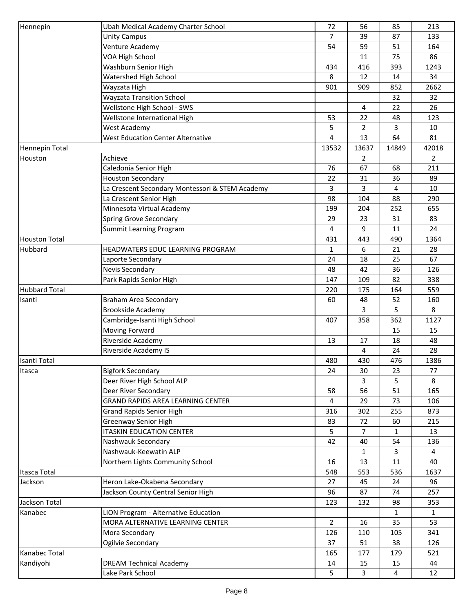| Hennepin             | Ubah Medical Academy Charter School             | 72             | 56             | 85           | 213            |
|----------------------|-------------------------------------------------|----------------|----------------|--------------|----------------|
|                      | <b>Unity Campus</b>                             | 7              | 39             | 87           | 133            |
|                      | Venture Academy                                 | 54             | 59             | 51           | 164            |
|                      | VOA High School                                 |                | 11             | 75           | 86             |
|                      | Washburn Senior High                            | 434            | 416            | 393          | 1243           |
|                      | Watershed High School                           | 8              | 12             | 14           | 34             |
|                      | Wayzata High                                    | 901            | 909            | 852          | 2662           |
|                      | <b>Wayzata Transition School</b>                |                |                | 32           | 32             |
|                      | Wellstone High School - SWS                     |                | 4              | 22           | 26             |
|                      | Wellstone International High                    | 53             | 22             | 48           | 123            |
|                      | <b>West Academy</b>                             | 5              | $\overline{2}$ | 3            | 10             |
|                      | <b>West Education Center Alternative</b>        | 4              | 13             | 64           | 81             |
| Hennepin Total       |                                                 | 13532          | 13637          | 14849        | 42018          |
| Houston              | Achieve                                         |                | $\overline{2}$ |              | $\overline{2}$ |
|                      | Caledonia Senior High                           | 76             | 67             | 68           | 211            |
|                      | <b>Houston Secondary</b>                        | 22             | 31             | 36           | 89             |
|                      | La Crescent Secondary Montessori & STEM Academy | 3              | 3              | 4            | 10             |
|                      | La Crescent Senior High                         | 98             | 104            | 88           | 290            |
|                      | Minnesota Virtual Academy                       | 199            | 204            | 252          | 655            |
|                      | Spring Grove Secondary                          | 29             | 23             | 31           | 83             |
|                      | Summit Learning Program                         | 4              | 9              | 11           | 24             |
| <b>Houston Total</b> |                                                 | 431            | 443            | 490          | 1364           |
| Hubbard              | HEADWATERS EDUC LEARNING PROGRAM                | 1              | 6              | 21           | 28             |
|                      | Laporte Secondary                               | 24             | 18             | 25           | 67             |
|                      | Nevis Secondary                                 |                |                |              |                |
|                      |                                                 | 48             | 42             | 36           | 126            |
|                      | Park Rapids Senior High                         | 147            | 109            | 82           | 338            |
| <b>Hubbard Total</b> |                                                 | 220            | 175            | 164          | 559            |
| Isanti               | <b>Braham Area Secondary</b>                    | 60             | 48             | 52           | 160            |
|                      | <b>Brookside Academy</b>                        |                | 3              | 5            | 8              |
|                      | Cambridge-Isanti High School                    | 407            | 358            | 362          | 1127           |
|                      | Moving Forward                                  |                |                | 15           | 15             |
|                      | Riverside Academy                               | 13             | 17             | 18           | 48             |
|                      | Riverside Academy IS                            |                | 4              | 24           | 28             |
| Isanti Total         |                                                 | 480            | 430            | 476          | 1386           |
| Itasca               | <b>Bigfork Secondary</b>                        | 24             | 30             | 23           | 77             |
|                      | Deer River High School ALP                      |                | 3              | 5            | 8              |
|                      | Deer River Secondary                            | 58             | 56             | 51           | 165            |
|                      | GRAND RAPIDS AREA LEARNING CENTER               | 4              | 29             | 73           | 106            |
|                      | <b>Grand Rapids Senior High</b>                 | 316            | 302            | 255          | 873            |
|                      | Greenway Senior High                            | 83             | 72             | 60           | 215            |
|                      | <b>ITASKIN EDUCATION CENTER</b>                 | 5.             | $\overline{7}$ | 1            | 13             |
|                      | Nashwauk Secondary                              | 42             | 40             | 54           | 136            |
|                      | Nashwauk-Keewatin ALP                           |                | $\mathbf{1}$   | 3            | $\overline{4}$ |
|                      | Northern Lights Community School                | 16             | 13             | 11           | 40             |
| Itasca Total         |                                                 | 548            | 553            | 536          | 1637           |
| Jackson              | Heron Lake-Okabena Secondary                    | 27             | 45             | 24           | 96             |
|                      | Jackson County Central Senior High              | 96             | 87             | 74           | 257            |
| Jackson Total        |                                                 | 123            | 132            | 98           | 353            |
| Kanabec              | LION Program - Alternative Education            |                |                | $\mathbf{1}$ | $\mathbf{1}$   |
|                      | MORA ALTERNATIVE LEARNING CENTER                | $\overline{2}$ | 16             | 35           | 53             |
|                      | Mora Secondary                                  | 126            | 110            | 105          | 341            |
|                      | Ogilvie Secondary                               | 37             | 51             | 38           | 126            |
| Kanabec Total        |                                                 | 165            | 177            | 179          | 521            |
| Kandiyohi            | <b>DREAM Technical Academy</b>                  | 14             | 15             | 15           | 44             |
|                      | Lake Park School                                | 5              | 3              | 4            | 12             |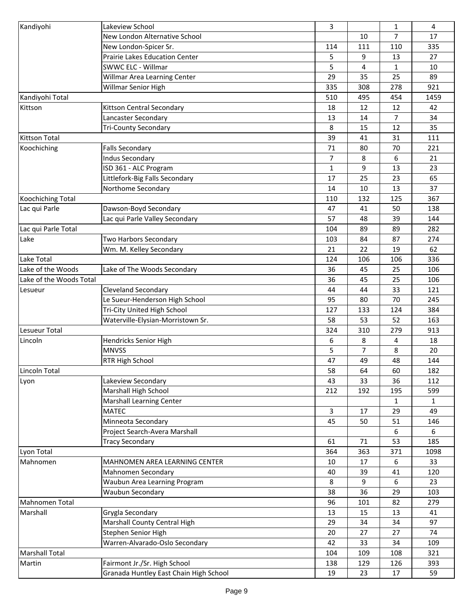| Kandiyohi               | Lakeview School                        | 3            |                | $\mathbf{1}$ | 4            |
|-------------------------|----------------------------------------|--------------|----------------|--------------|--------------|
|                         | New London Alternative School          |              | 10             | 7            | 17           |
|                         | New London-Spicer Sr.                  | 114          | 111            | 110          | 335          |
|                         | <b>Prairie Lakes Education Center</b>  | 5            | 9              | 13           | 27           |
|                         | SWWC ELC - Willmar                     | 5            | 4              | 1            | 10           |
|                         | Willmar Area Learning Center           | 29           | 35             | 25           | 89           |
|                         | Willmar Senior High                    | 335          | 308            | 278          | 921          |
| Kandiyohi Total         |                                        | 510          | 495            | 454          | 1459         |
| Kittson                 | Kittson Central Secondary              | 18           | 12             | 12           | 42           |
|                         | Lancaster Secondary                    | 13           | 14             | 7            | 34           |
|                         | <b>Tri-County Secondary</b>            | 8            | 15             | 12           | 35           |
| <b>Kittson Total</b>    |                                        | 39           | 41             | 31           | 111          |
| Koochiching             | <b>Falls Secondary</b>                 | 71           | 80             | 70           | 221          |
|                         | <b>Indus Secondary</b>                 | 7            | 8              | 6            | 21           |
|                         | ISD 361 - ALC Program                  | $\mathbf{1}$ | 9              | 13           | 23           |
|                         | Littlefork-Big Falls Secondary         | 17           | 25             | 23           | 65           |
|                         | Northome Secondary                     | 14           | 10             | 13           | 37           |
| Koochiching Total       |                                        | 110          | 132            | 125          | 367          |
| Lac qui Parle           | Dawson-Boyd Secondary                  | 47           | 41             | 50           | 138          |
|                         | Lac qui Parle Valley Secondary         | 57           | 48             | 39           | 144          |
| Lac qui Parle Total     |                                        | 104          | 89             | 89           | 282          |
|                         |                                        |              |                |              |              |
| Lake                    | Two Harbors Secondary                  | 103<br>21    | 84<br>22       | 87<br>19     | 274<br>62    |
|                         | Wm. M. Kelley Secondary                |              |                |              |              |
| Lake Total              |                                        | 124          | 106            | 106          | 336          |
| Lake of the Woods       | Lake of The Woods Secondary            | 36           | 45             | 25           | 106          |
| Lake of the Woods Total |                                        | 36           | 45             | 25           | 106          |
| Lesueur                 | Cleveland Secondary                    | 44           | 44             | 33           | 121          |
|                         | Le Sueur-Henderson High School         | 95           | 80             | 70           | 245          |
|                         | Tri-City United High School            | 127          | 133            | 124          | 384          |
|                         | Waterville-Elysian-Morristown Sr.      | 58           | 53             | 52           | 163          |
| Lesueur Total           |                                        | 324          | 310            | 279          | 913          |
| Lincoln                 | Hendricks Senior High                  | 6            | 8              | 4            | 18           |
|                         | <b>MNVSS</b>                           | 5            | $\overline{7}$ | 8            | 20           |
|                         | RTR High School                        | 47           | 49             | 48           | 144          |
| Lincoln Total           |                                        | 58           | 64             | 60           | 182          |
| Lyon                    | Lakeview Secondary                     | 43           | 33             | 36           | 112          |
|                         | Marshall High School                   | 212          | 192            | 195          | 599          |
|                         | <b>Marshall Learning Center</b>        |              |                | 1            | $\mathbf{1}$ |
|                         | <b>MATEC</b>                           | 3            | 17             | 29           | 49           |
|                         | Minneota Secondary                     | 45           | 50             | 51           | 146          |
|                         | Project Search-Avera Marshall          |              |                | 6            | 6            |
|                         | <b>Tracy Secondary</b>                 | 61           | 71             | 53           | 185          |
| Lyon Total              |                                        | 364          | 363            | 371          | 1098         |
| Mahnomen                | MAHNOMEN AREA LEARNING CENTER          | 10           | 17             | 6            | 33           |
|                         | Mahnomen Secondary                     | 40           | 39             | 41           | 120          |
|                         | Waubun Area Learning Program           | 8            | 9              | 6            | 23           |
|                         | Waubun Secondary                       | 38           | 36             | 29           | 103          |
| Mahnomen Total          |                                        | 96           | 101            | 82           | 279          |
| Marshall                | Grygla Secondary                       | 13           | 15             | 13           | 41           |
|                         | Marshall County Central High           | 29           | 34             | 34           | 97           |
|                         | Stephen Senior High                    | 20           | 27             | 27           | 74           |
|                         | Warren-Alvarado-Oslo Secondary         | 42           | 33             | 34           | 109          |
| <b>Marshall Total</b>   |                                        | 104          | 109            | 108          | 321          |
| Martin                  | Fairmont Jr./Sr. High School           | 138          | 129            | 126          | 393          |
|                         | Granada Huntley East Chain High School | 19           | 23             | 17           | 59           |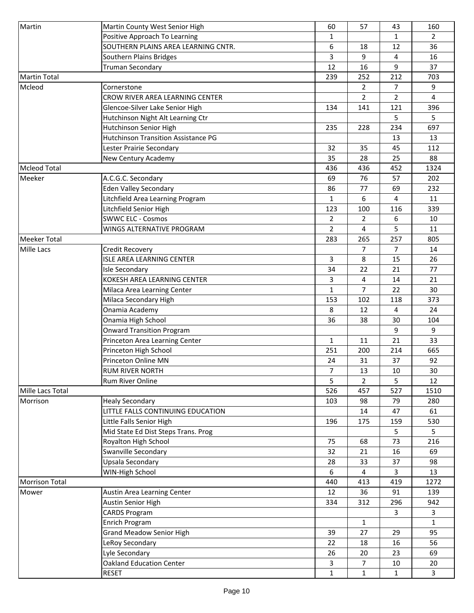| Martin                       | Martin County West Senior High      | 60             | 57             | 43             | 160            |
|------------------------------|-------------------------------------|----------------|----------------|----------------|----------------|
|                              | Positive Approach To Learning       | 1              |                | 1              | $\overline{2}$ |
|                              | SOUTHERN PLAINS AREA LEARNING CNTR. | 6              | 18             | 12             | 36             |
|                              | Southern Plains Bridges             | 3              | 9              | 4              | 16             |
|                              | <b>Truman Secondary</b>             | 12             | 16             | 9              | 37             |
| <b>Martin Total</b>          |                                     | 239            | 252            | 212            | 703            |
| Mcleod                       | Cornerstone                         |                | $\overline{2}$ | $\overline{7}$ | 9              |
|                              | CROW RIVER AREA LEARNING CENTER     |                | $\overline{2}$ | $\overline{2}$ | 4              |
|                              | Glencoe-Silver Lake Senior High     | 134            | 141            | 121            | 396            |
|                              | Hutchinson Night Alt Learning Ctr   |                |                | 5.             | 5              |
|                              | Hutchinson Senior High              | 235            | 228            | 234            | 697            |
|                              | Hutchinson Transition Assistance PG |                |                | 13             | 13             |
|                              | Lester Prairie Secondary            | 32             | 35             | 45             | 112            |
|                              | New Century Academy                 | 35             | 28             | 25             | 88             |
| <b>Mcleod Total</b>          |                                     | 436            | 436            | 452            | 1324           |
| Meeker                       | A.C.G.C. Secondary                  | 69             | 76             | 57             | 202            |
|                              | <b>Eden Valley Secondary</b>        | 86             | 77             | 69             | 232            |
|                              | Litchfield Area Learning Program    | 1              | 6              | 4              | 11             |
|                              | Litchfield Senior High              | 123            | 100            | 116            | 339            |
|                              | <b>SWWC ELC - Cosmos</b>            | $\overline{2}$ | $\overline{2}$ | 6              | 10             |
|                              | WINGS ALTERNATIVE PROGRAM           | $\overline{2}$ | 4              | 5              | 11             |
| <b>Meeker Total</b>          |                                     | 283            | 265            | 257            | 805            |
| <b>Mille Lacs</b>            | Credit Recovery                     |                | $\overline{7}$ | 7              | 14             |
|                              | ISLE AREA LEARNING CENTER           | 3              | 8              | 15             | 26             |
|                              | <b>Isle Secondary</b>               | 34             | 22             | 21             | 77             |
|                              | KOKESH AREA LEARNING CENTER         | 3              | 4              | 14             | 21             |
|                              | Milaca Area Learning Center         | $\mathbf{1}$   | $\overline{7}$ | 22             | 30             |
|                              | Milaca Secondary High               | 153            | 102            | 118            | 373            |
|                              | Onamia Academy                      | 8              | 12             | 4              | 24             |
|                              | Onamia High School                  | 36             | 38             | 30             | 104            |
|                              | <b>Onward Transition Program</b>    |                |                | 9              | 9              |
|                              | Princeton Area Learning Center      | $\mathbf{1}$   | 11             | 21             | 33             |
|                              | Princeton High School               | 251            | 200            | 214            | 665            |
|                              | Princeton Online MN                 | 24             | 31             | 37             | 92             |
|                              | <b>RUM RIVER NORTH</b>              | 7              | 13             | 10             | 30             |
|                              | <b>Rum River Online</b>             | 5              | 2              | 5              | 12             |
| Mille Lacs Total<br>Morrison | <b>Healy Secondary</b>              | 526<br>103     | 457<br>98      | 527<br>79      | 1510<br>280    |
|                              | LITTLE FALLS CONTINUING EDUCATION   |                | 14             | 47             | 61             |
|                              | Little Falls Senior High            | 196            | 175            | 159            | 530            |
|                              | Mid State Ed Dist Steps Trans. Prog |                |                | 5              | 5              |
|                              | Royalton High School                | 75             | 68             | 73             | 216            |
|                              | Swanville Secondary                 | 32             | 21             | 16             | 69             |
|                              | Upsala Secondary                    | 28             | 33             | 37             | 98             |
|                              | WIN-High School                     | 6              | 4              | 3              | 13             |
| <b>Morrison Total</b>        |                                     | 440            | 413            | 419            | 1272           |
| Mower                        | Austin Area Learning Center         | 12             | 36             | 91             | 139            |
|                              | Austin Senior High                  | 334            | 312            | 296            | 942            |
|                              | <b>CARDS Program</b>                |                |                | 3              | 3              |
|                              | <b>Enrich Program</b>               |                | $\mathbf{1}$   |                | $\mathbf{1}$   |
|                              | <b>Grand Meadow Senior High</b>     | 39             | 27             | 29             | 95             |
|                              | LeRoy Secondary                     | 22             | 18             | 16             | 56             |
|                              | Lyle Secondary                      | 26             | 20             | 23             | 69             |
|                              | <b>Oakland Education Center</b>     | 3              | 7              | 10             | 20             |
|                              | <b>RESET</b>                        | $\mathbf{1}$   | $\mathbf{1}$   | $\mathbf{1}$   | $\overline{3}$ |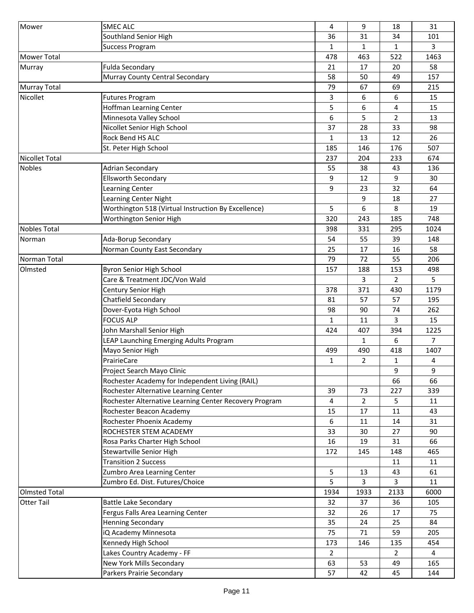| Mower                 | <b>SMEC ALC</b>                                        | 4              | 9              | 18             | 31             |
|-----------------------|--------------------------------------------------------|----------------|----------------|----------------|----------------|
|                       | Southland Senior High                                  | 36             | 31             | 34             | 101            |
|                       | <b>Success Program</b>                                 | $\mathbf{1}$   | 1              | 1              | 3              |
| <b>Mower Total</b>    |                                                        | 478            | 463            | 522            | 1463           |
|                       |                                                        |                |                |                |                |
| Murray                | <b>Fulda Secondary</b>                                 | 21             | 17             | 20             | 58             |
|                       | Murray County Central Secondary                        | 58             | 50             | 49             | 157            |
| <b>Murray Total</b>   |                                                        | 79             | 67             | 69             | 215            |
| Nicollet              | <b>Futures Program</b>                                 | 3              | 6              | 6              | 15             |
|                       | Hoffman Learning Center                                | 5              | 6              | 4              | 15             |
|                       | Minnesota Valley School                                | 6              | 5              | 2              | 13             |
|                       | Nicollet Senior High School                            | 37             | 28             | 33             | 98             |
|                       | Rock Bend HS ALC                                       | $\mathbf{1}$   | 13             | 12             | 26             |
|                       | St. Peter High School                                  | 185            | 146            | 176            | 507            |
| <b>Nicollet Total</b> |                                                        | 237            | 204            | 233            | 674            |
| <b>Nobles</b>         | <b>Adrian Secondary</b>                                | 55             | 38             | 43             | 136            |
|                       | <b>Ellsworth Secondary</b>                             | 9              | 12             | 9              | 30             |
|                       | Learning Center                                        | 9              | 23             | 32             | 64             |
|                       | Learning Center Night                                  |                | 9              | 18             | 27             |
|                       | Worthington 518 (Virtual Instruction By Excellence)    | 5              | 6              | 8              | 19             |
|                       | Worthington Senior High                                | 320            | 243            | 185            | 748            |
| <b>Nobles Total</b>   |                                                        | 398            | 331            | 295            | 1024           |
| Norman                | Ada-Borup Secondary                                    | 54             | 55             | 39             | 148            |
|                       | Norman County East Secondary                           | 25             | 17             | 16             | 58             |
| Norman Total          |                                                        | 79             | 72             | 55             | 206            |
| Olmsted               | Byron Senior High School                               | 157            | 188            | 153            | 498            |
|                       | Care & Treatment JDC/Von Wald                          |                | 3              | 2              | 5              |
|                       | Century Senior High                                    | 378            | 371            | 430            | 1179           |
|                       | Chatfield Secondary                                    | 81             | 57             | 57             |                |
|                       |                                                        |                |                |                | 195<br>262     |
|                       | Dover-Eyota High School                                | 98             | 90             | 74             |                |
|                       | <b>FOCUS ALP</b>                                       | $\mathbf{1}$   | 11             | 3              | 15             |
|                       | John Marshall Senior High                              | 424            | 407            | 394            | 1225           |
|                       | LEAP Launching Emerging Adults Program                 |                | 1              | 6              | $\overline{7}$ |
|                       | Mayo Senior High                                       | 499            | 490            | 418            | 1407           |
|                       | PrairieCare                                            | $\mathbf{1}$   | $\overline{2}$ | $\mathbf{1}$   | 4              |
|                       | Project Search Mayo Clinic                             |                |                | 9              | 9              |
|                       | Rochester Academy for Independent Living (RAIL)        |                |                | 66             | 66             |
|                       | Rochester Alternative Learning Center                  | 39             | 73             | 227            | 339            |
|                       | Rochester Alternative Learning Center Recovery Program | 4              | $\overline{2}$ | 5              | 11             |
|                       | Rochester Beacon Academy                               | 15             | 17             | 11             | 43             |
|                       | Rochester Phoenix Academy                              | 6              | 11             | 14             | 31             |
|                       | ROCHESTER STEM ACADEMY                                 | 33             | 30             | 27             | 90             |
|                       | Rosa Parks Charter High School                         | 16             | 19             | 31             | 66             |
|                       | Stewartville Senior High                               | 172            | 145            | 148            | 465            |
|                       | <b>Transition 2 Success</b>                            |                |                | 11             | 11             |
|                       | Zumbro Area Learning Center                            | 5              | 13             | 43             | 61             |
|                       | Zumbro Ed. Dist. Futures/Choice                        | 5              | 3              | 3              | 11             |
| <b>Olmsted Total</b>  |                                                        | 1934           | 1933           | 2133           | 6000           |
| <b>Otter Tail</b>     | <b>Battle Lake Secondary</b>                           | 32             | 37             | 36             | 105            |
|                       | Fergus Falls Area Learning Center                      | 32             | 26             | 17             | 75             |
|                       | <b>Henning Secondary</b>                               | 35             | 24             | 25             | 84             |
|                       | <b>iQ Academy Minnesota</b>                            | 75             | 71             | 59             | 205            |
|                       | Kennedy High School                                    | 173            | 146            | 135            | 454            |
|                       | Lakes Country Academy - FF                             | $\overline{2}$ |                | $\overline{2}$ | 4              |
|                       | New York Mills Secondary                               | 63             | 53             | 49             | 165            |
|                       | Parkers Prairie Secondary                              | 57             | 42             | 45             | 144            |
|                       |                                                        |                |                |                |                |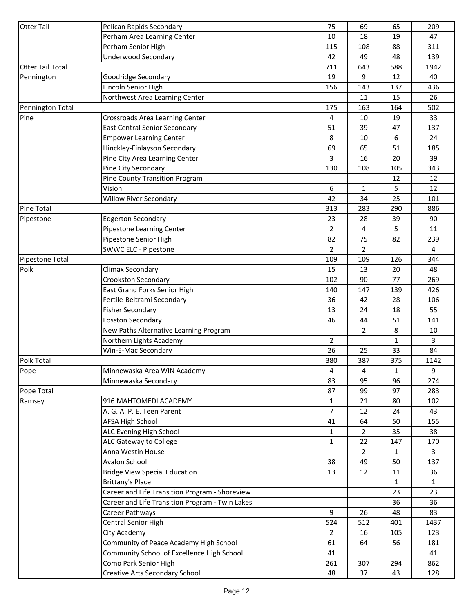| <b>Otter Tail</b>       | Pelican Rapids Secondary                        | 75             | 69                   | 65           | 209          |
|-------------------------|-------------------------------------------------|----------------|----------------------|--------------|--------------|
|                         | Perham Area Learning Center                     | 10             | 18                   | 19           | 47           |
|                         | Perham Senior High                              | 115            | 108                  | 88           | 311          |
|                         | <b>Underwood Secondary</b>                      | 42             | 49                   | 48           | 139          |
| <b>Otter Tail Total</b> |                                                 | 711            | 643                  | 588          | 1942         |
| Pennington              | Goodridge Secondary                             | 19             | 9                    | 12           | 40           |
|                         | Lincoln Senior High                             | 156            | 143                  | 137          | 436          |
|                         | Northwest Area Learning Center                  |                | 11                   | 15           | 26           |
| Pennington Total        |                                                 | 175            | 163                  | 164          | 502          |
| Pine                    | Crossroads Area Learning Center                 | 4              | 10                   | 19           | 33           |
|                         | <b>East Central Senior Secondary</b>            | 51             | 39                   | 47           | 137          |
|                         | <b>Empower Learning Center</b>                  | 8              | 10                   | 6            | 24           |
|                         | Hinckley-Finlayson Secondary                    | 69             | 65                   | 51           | 185          |
|                         | Pine City Area Learning Center                  | 3              | 16                   | 20           | 39           |
|                         | Pine City Secondary                             | 130            | 108                  | 105          | 343          |
|                         | Pine County Transition Program                  |                |                      | 12           | 12           |
|                         | Vision                                          | 6              | 1                    | 5            | 12           |
|                         | <b>Willow River Secondary</b>                   | 42             | 34                   | 25           | 101          |
| <b>Pine Total</b>       |                                                 | 313            | 283                  | 290          | 886          |
| Pipestone               | <b>Edgerton Secondary</b>                       | 23             | 28                   | 39           | 90           |
|                         | Pipestone Learning Center                       | $\overline{2}$ | 4                    | 5            | 11           |
|                         | Pipestone Senior High                           | 82             | 75                   | 82           | 239          |
|                         | <b>SWWC ELC - Pipestone</b>                     | $\overline{2}$ | $\overline{2}$       |              | 4            |
| Pipestone Total         |                                                 | 109            | 109                  | 126          | 344          |
| Polk                    | Climax Secondary                                | 15             | 13                   | 20           | 48           |
|                         |                                                 | 102            | 90                   | 77           | 269          |
|                         | Crookston Secondary                             |                |                      |              |              |
|                         | East Grand Forks Senior High                    | 140            | 147                  | 139          | 426          |
|                         | Fertile-Beltrami Secondary                      | 36             | 42                   | 28           | 106          |
|                         | <b>Fisher Secondary</b>                         | 13             | 24                   | 18           | 55           |
|                         | Fosston Secondary                               | 46             | 44<br>$\overline{2}$ | 51<br>8      | 141          |
|                         | New Paths Alternative Learning Program          | $\overline{2}$ |                      |              | 10<br>3      |
|                         | Northern Lights Academy                         | 26             |                      | $\mathbf{1}$ |              |
|                         | Win-E-Mac Secondary                             |                | 25                   | 33           | 84           |
| Polk Total              |                                                 | 380            | 387                  | 375          | 1142         |
| Pope                    | Minnewaska Area WIN Academy                     | 4              | 4                    | 1            | 9            |
|                         | Minnewaska Secondary                            | 83             | 95                   | 96           | 274          |
| Pope Total              |                                                 | 87             | 99                   | 97           | 283          |
| Ramsey                  | 916 MAHTOMEDI ACADEMY                           | 1              | 21                   | 80           | 102          |
|                         | A. G. A. P. E. Teen Parent                      | $\overline{7}$ | 12                   | 24           | 43           |
|                         | <b>AFSA High School</b>                         | 41             | 64                   | 50           | 155          |
|                         | ALC Evening High School                         | $\mathbf{1}$   | $\overline{2}$       | 35           | 38           |
|                         | ALC Gateway to College                          | $\mathbf{1}$   | 22                   | 147          | 170          |
|                         | Anna Westin House                               |                | $\overline{2}$       | $\mathbf{1}$ | 3            |
|                         | Avalon School                                   | 38             | 49                   | 50           | 137          |
|                         | <b>Bridge View Special Education</b>            | 13             | 12                   | 11           | 36           |
|                         | Brittany's Place                                |                |                      | 1            | $\mathbf{1}$ |
|                         | Career and Life Transition Program - Shoreview  |                |                      | 23           | 23           |
|                         | Career and Life Transition Program - Twin Lakes |                |                      | 36           | 36           |
|                         | Career Pathways                                 | 9              | 26                   | 48           | 83           |
|                         | Central Senior High                             | 524            | 512                  | 401          | 1437         |
|                         | City Academy                                    | $\overline{2}$ | 16                   | 105          | 123          |
|                         | Community of Peace Academy High School          | 61             | 64                   | 56           | 181          |
|                         | Community School of Excellence High School      | 41             |                      |              | 41           |
|                         | Como Park Senior High                           | 261            | 307                  | 294          | 862          |
|                         | Creative Arts Secondary School                  | 48             | 37                   | 43           | 128          |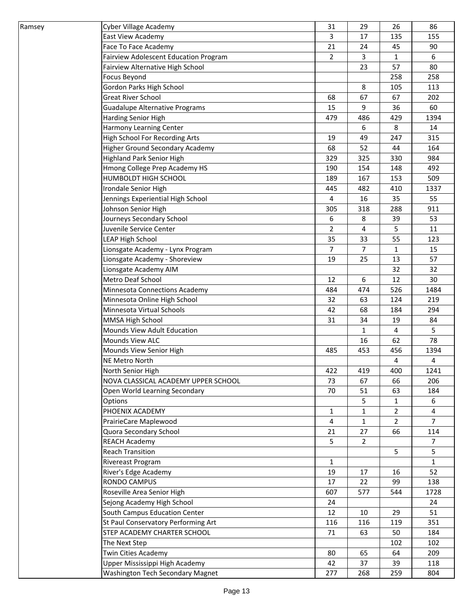| Ramsey | Cyber Village Academy                  | 31             | 29             | 26             | 86             |
|--------|----------------------------------------|----------------|----------------|----------------|----------------|
|        | East View Academy                      | 3              | 17             | 135            | 155            |
|        | Face To Face Academy                   | 21             | 24             | 45             | 90             |
|        | Fairview Adolescent Education Program  | $\overline{2}$ | 3              | 1              | 6              |
|        | Fairview Alternative High School       |                | 23             | 57             | 80             |
|        | Focus Beyond                           |                |                | 258            | 258            |
|        | Gordon Parks High School               |                | 8              | 105            | 113            |
|        | <b>Great River School</b>              | 68             | 67             | 67             | 202            |
|        | <b>Guadalupe Alternative Programs</b>  | 15             | 9              | 36             | 60             |
|        | Harding Senior High                    | 479            | 486            | 429            | 1394           |
|        | Harmony Learning Center                |                | 6              | 8              | 14             |
|        | High School For Recording Arts         | 19             | 49             | 247            | 315            |
|        | <b>Higher Ground Secondary Academy</b> | 68             | 52             | 44             | 164            |
|        | <b>Highland Park Senior High</b>       | 329            | 325            | 330            | 984            |
|        | Hmong College Prep Academy HS          | 190            | 154            | 148            | 492            |
|        | HUMBOLDT HIGH SCHOOL                   | 189            | 167            | 153            | 509            |
|        | Irondale Senior High                   | 445            | 482            | 410            | 1337           |
|        | Jennings Experiential High School      | 4              | 16             | 35             | 55             |
|        | Johnson Senior High                    | 305            | 318            | 288            | 911            |
|        | Journeys Secondary School              | 6              | 8              | 39             | 53             |
|        | Juvenile Service Center                | $\overline{2}$ | 4              | 5              | 11             |
|        | <b>LEAP High School</b>                | 35             | 33             | 55             | 123            |
|        | Lionsgate Academy - Lynx Program       | $\overline{7}$ | 7              | 1              | 15             |
|        | Lionsgate Academy - Shoreview          | 19             | 25             | 13             | 57             |
|        | Lionsgate Academy AIM                  |                |                | 32             | 32             |
|        | Metro Deaf School                      | 12             | 6              | 12             | 30             |
|        | Minnesota Connections Academy          | 484            | 474            | 526            | 1484           |
|        | Minnesota Online High School           | 32             | 63             | 124            | 219            |
|        | Minnesota Virtual Schools              | 42             | 68             | 184            | 294            |
|        | MMSA High School                       | 31             | 34             | 19             | 84             |
|        | <b>Mounds View Adult Education</b>     |                | 1              | 4              | 5              |
|        | Mounds View ALC                        |                | 16             | 62             | 78             |
|        | Mounds View Senior High                | 485            | 453            | 456            | 1394           |
|        | NE Metro North                         |                |                | 4              | 4              |
|        | North Senior High                      | 422            | 419            | 400            | 1241           |
|        | NOVA CLASSICAL ACADEMY UPPER SCHOOL    | 73             | 67             | 66             | 206            |
|        | Open World Learning Secondary          | 70             | 51             | 63             | 184            |
|        | Options                                |                | 5              | 1              | 6              |
|        | PHOENIX ACADEMY                        | $\mathbf{1}$   | $\mathbf{1}$   | $\overline{2}$ | 4              |
|        | PrairieCare Maplewood                  | 4              | $\mathbf{1}$   | 2              | $\overline{7}$ |
|        | Quora Secondary School                 | 21             | 27             | 66             | 114            |
|        | <b>REACH Academy</b>                   | 5              | $\overline{2}$ |                | 7              |
|        | <b>Reach Transition</b>                |                |                | 5              | 5              |
|        | Rivereast Program                      | $\mathbf{1}$   |                |                | $\mathbf{1}$   |
|        | River's Edge Academy                   | 19             | 17             | 16             | 52             |
|        | RONDO CAMPUS                           | 17             | 22             | 99             | 138            |
|        | Roseville Area Senior High             | 607            | 577            | 544            | 1728           |
|        | Sejong Academy High School             | 24             |                |                | 24             |
|        | South Campus Education Center          | 12             | 10             | 29             | 51             |
|        | St Paul Conservatory Performing Art    | 116            | 116            | 119            | 351            |
|        | STEP ACADEMY CHARTER SCHOOL            | 71             | 63             | 50             | 184            |
|        | The Next Step                          |                |                | 102            | 102            |
|        | <b>Twin Cities Academy</b>             | 80             | 65             | 64             | 209            |
|        | Upper Mississippi High Academy         | 42             | 37             | 39             | 118            |
|        | Washington Tech Secondary Magnet       | 277            | 268            | 259            | 804            |
|        |                                        |                |                |                |                |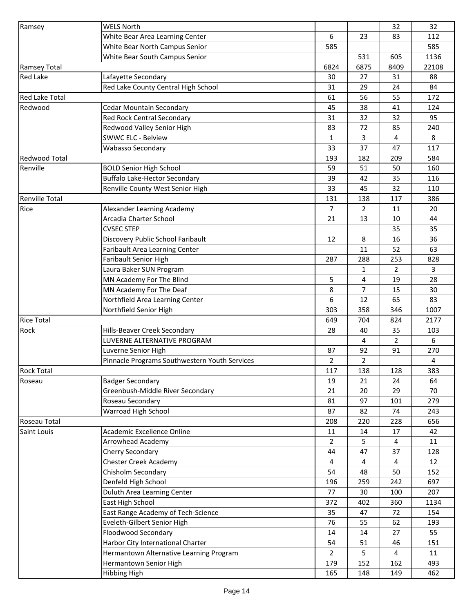| Ramsey                | <b>WELS North</b>                                |                |                | 32             | 32           |
|-----------------------|--------------------------------------------------|----------------|----------------|----------------|--------------|
|                       | White Bear Area Learning Center                  | 6              | 23             | 83             | 112          |
|                       | White Bear North Campus Senior                   | 585            |                |                | 585          |
|                       | White Bear South Campus Senior                   |                | 531            | 605            | 1136         |
| <b>Ramsey Total</b>   |                                                  | 6824           | 6875           | 8409           | 22108        |
| <b>Red Lake</b>       | Lafayette Secondary                              | 30             | 27             | 31             | 88           |
|                       | Red Lake County Central High School              | 31             | 29             | 24             | 84           |
| <b>Red Lake Total</b> |                                                  | 61             | 56             | 55             | 172          |
| Redwood               | <b>Cedar Mountain Secondary</b>                  | 45             | 38             | 41             | 124          |
|                       | <b>Red Rock Central Secondary</b>                | 31             | 32             | 32             | 95           |
|                       | Redwood Valley Senior High                       | 83             | 72             | 85             | 240          |
|                       | <b>SWWC ELC - Belview</b>                        | 1              | 3              | 4              | 8            |
|                       | <b>Wabasso Secondary</b>                         | 33             | 37             | 47             | 117          |
| <b>Redwood Total</b>  |                                                  | 193            | 182            | 209            | 584          |
| Renville              | <b>BOLD Senior High School</b>                   | 59             | 51             | 50             | 160          |
|                       | <b>Buffalo Lake-Hector Secondary</b>             | 39             | 42             | 35             | 116          |
|                       | Renville County West Senior High                 | 33             | 45             | 32             | 110          |
| <b>Renville Total</b> |                                                  | 131            | 138            | 117            | 386          |
| Rice                  | Alexander Learning Academy                       | 7              | $\overline{2}$ | 11             | 20           |
|                       | Arcadia Charter School                           | 21             | 13             | 10             | 44           |
|                       | <b>CVSEC STEP</b>                                |                |                | 35             | 35           |
|                       | Discovery Public School Faribault                | 12             | 8              | 16             | 36           |
|                       | Faribault Area Learning Center                   |                | 11             | 52             | 63           |
|                       | Faribault Senior High                            | 287            | 288            | 253            | 828          |
|                       | Laura Baker SUN Program                          |                | $\mathbf{1}$   | $\overline{2}$ | 3            |
|                       | MN Academy For The Blind                         | 5              | 4              | 19             | 28           |
|                       | MN Academy For The Deaf                          | 8              | $\overline{7}$ | 15             | 30           |
|                       |                                                  | 6              |                |                | 83           |
|                       | Northfield Area Learning Center                  |                | 12             | 65             |              |
| <b>Rice Total</b>     | Northfield Senior High                           | 303<br>649     | 358<br>704     | 346<br>824     | 1007<br>2177 |
| Rock                  | <b>Hills-Beaver Creek Secondary</b>              | 28             | 40             | 35             | 103          |
|                       | LUVERNE ALTERNATIVE PROGRAM                      |                | 4              | $\overline{2}$ | 6            |
|                       | Luverne Senior High                              | 87             | 92             | 91             | 270          |
|                       |                                                  |                | $\overline{2}$ |                | 4            |
| <b>Rock Total</b>     | Pinnacle Programs Southwestern Youth Services    | 2<br>117       | 138            | 128            | 383          |
| Roseau                | <b>Badger Secondary</b>                          | 19             | 21             | 24             | 64           |
|                       | Greenbush-Middle River Secondary                 | 21             | 20             | 29             | 70           |
|                       | Roseau Secondary                                 | 81             | 97             | 101            | 279          |
|                       | Warroad High School                              | 87             | 82             | 74             | 243          |
| Roseau Total          |                                                  | 208            | 220            | 228            | 656          |
|                       | Academic Excellence Online                       | 11             | 14             | 17             | 42           |
| Saint Louis           | Arrowhead Academy                                | $\overline{2}$ | 5              | 4              | 11           |
|                       |                                                  | 44             | 47             | 37             | 128          |
|                       | Cherry Secondary<br><b>Chester Creek Academy</b> | 4              | 4              | 4              | 12           |
|                       |                                                  |                |                |                |              |
|                       | Chisholm Secondary                               | 54             | 48             | 50             | 152          |
|                       | Denfeld High School                              | 196            | 259            | 242            | 697          |
|                       | Duluth Area Learning Center                      | 77             | 30             | 100            | 207          |
|                       | East High School                                 | 372            | 402            | 360            | 1134         |
|                       | East Range Academy of Tech-Science               | 35             | 47             | 72             | 154          |
|                       | Eveleth-Gilbert Senior High                      | 76             | 55             | 62             | 193          |
|                       | Floodwood Secondary                              | 14             | 14             | 27             | 55           |
|                       | Harbor City International Charter                | 54             | 51             | 46             | 151          |
|                       | Hermantown Alternative Learning Program          | $\overline{2}$ | 5              | 4              | 11           |
|                       | Hermantown Senior High                           | 179            | 152            | 162            | 493          |
|                       | <b>Hibbing High</b>                              | 165            | 148            | 149            | 462          |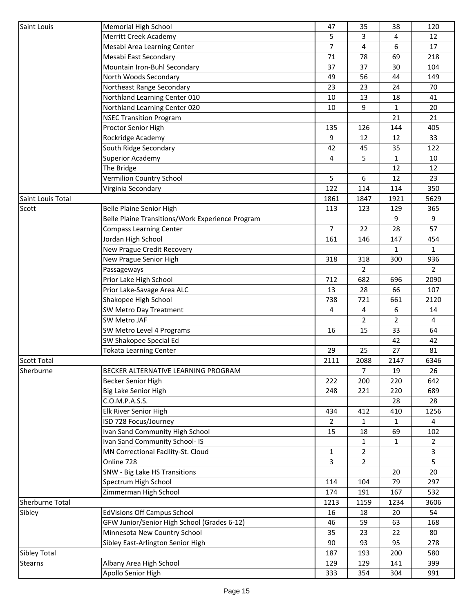| Saint Louis         | Memorial High School                             | 47             | 35             | 38                  | 120                 |
|---------------------|--------------------------------------------------|----------------|----------------|---------------------|---------------------|
|                     | Merritt Creek Academy                            | 5.             | 3              | 4                   | 12                  |
|                     | Mesabi Area Learning Center                      | 7              | 4              | 6                   | 17                  |
|                     | Mesabi East Secondary                            | 71             | 78             | 69                  | 218                 |
|                     | Mountain Iron-Buhl Secondary                     | 37             | 37             | 30                  | 104                 |
|                     | North Woods Secondary                            | 49             | 56             | 44                  | 149                 |
|                     | Northeast Range Secondary                        | 23             | 23             | 24                  | 70                  |
|                     | Northland Learning Center 010                    | 10             | 13             | 18                  | 41                  |
|                     | Northland Learning Center 020                    | 10             | 9              | $\mathbf{1}$        | 20                  |
|                     | <b>NSEC Transition Program</b>                   |                |                | 21                  | 21                  |
|                     | Proctor Senior High                              | 135            | 126            | 144                 | 405                 |
|                     | Rockridge Academy                                | 9              | 12             | 12                  | 33                  |
|                     | South Ridge Secondary                            | 42             | 45             | 35                  | 122                 |
|                     | <b>Superior Academy</b>                          | 4              | 5              | $\mathbf{1}$        | 10                  |
|                     | The Bridge                                       |                |                | 12                  | 12                  |
|                     | Vermilion Country School                         | 5              | 6              | 12                  | 23                  |
|                     | Virginia Secondary                               | 122            | 114            | 114                 | 350                 |
| Saint Louis Total   |                                                  | 1861           | 1847           | 1921                | 5629                |
| Scott               | Belle Plaine Senior High                         | 113            | 123            | 129                 | 365                 |
|                     | Belle Plaine Transitions/Work Experience Program |                |                | 9                   | 9                   |
|                     | <b>Compass Learning Center</b>                   | $\overline{7}$ | 22             | 28                  | 57                  |
|                     |                                                  |                |                |                     |                     |
|                     | Jordan High School                               | 161            | 146            | 147<br>$\mathbf{1}$ | 454<br>$\mathbf{1}$ |
|                     | New Prague Credit Recovery                       |                |                |                     |                     |
|                     | New Prague Senior High                           | 318            | 318            | 300                 | 936                 |
|                     | Passageways                                      |                | $\overline{2}$ |                     | $\overline{2}$      |
|                     | Prior Lake High School                           | 712            | 682            | 696                 | 2090                |
|                     | Prior Lake-Savage Area ALC                       | 13             | 28             | 66                  | 107                 |
|                     | Shakopee High School                             | 738            | 721            | 661                 | 2120                |
|                     | SW Metro Day Treatment                           | 4              | 4              | 6                   | 14                  |
|                     | SW Metro JAF                                     |                | $\overline{2}$ | 2                   | 4                   |
|                     | SW Metro Level 4 Programs                        | 16             | 15             | 33                  | 64                  |
|                     | SW Shakopee Special Ed                           |                |                | 42                  | 42                  |
|                     | <b>Tokata Learning Center</b>                    | 29             | 25             | 27                  | 81                  |
| <b>Scott Total</b>  |                                                  | 2111           | 2088           | 2147                | 6346                |
| Sherburne           | BECKER ALTERNATIVE LEARNING PROGRAM              |                | 7              | 19                  | 26                  |
|                     | Becker Senior High                               | 222            | 200            | 220                 | 642                 |
|                     | Big Lake Senior High                             | 248            | 221            | 220                 | 689                 |
|                     | C.O.M.P.A.S.S.                                   |                |                | 28                  | 28                  |
|                     | Elk River Senior High                            | 434            | 412            | 410                 | 1256                |
|                     | ISD 728 Focus/Journey                            | 2              | $\mathbf{1}$   | 1                   | $\overline{4}$      |
|                     | Ivan Sand Community High School                  | 15             | 18             | 69                  | 102                 |
|                     | Ivan Sand Community School- IS                   |                | $\mathbf{1}$   | $\mathbf{1}$        | $\overline{2}$      |
|                     | MN Correctional Facility-St. Cloud               | 1              | $\overline{2}$ |                     | 3                   |
|                     | Online 728                                       | 3              | $\overline{2}$ |                     | 5                   |
|                     | SNW - Big Lake HS Transitions                    |                |                | 20                  | 20                  |
|                     | Spectrum High School                             | 114            | 104            | 79                  | 297                 |
|                     | Zimmerman High School                            | 174            | 191            | 167                 | 532                 |
| Sherburne Total     |                                                  | 1213           | 1159           | 1234                | 3606                |
| Sibley              | <b>EdVisions Off Campus School</b>               | 16             | 18             | 20                  | 54                  |
|                     | GFW Junior/Senior High School (Grades 6-12)      | 46             | 59             | 63                  | 168                 |
|                     | Minnesota New Country School                     | 35             | 23             | 22                  | 80                  |
|                     | Sibley East-Arlington Senior High                | 90             | 93             | 95                  | 278                 |
| <b>Sibley Total</b> |                                                  | 187            | 193            | 200                 | 580                 |
| <b>Stearns</b>      | Albany Area High School                          | 129            | 129            | 141                 | 399                 |
|                     | Apollo Senior High                               | 333            | 354            | 304                 | 991                 |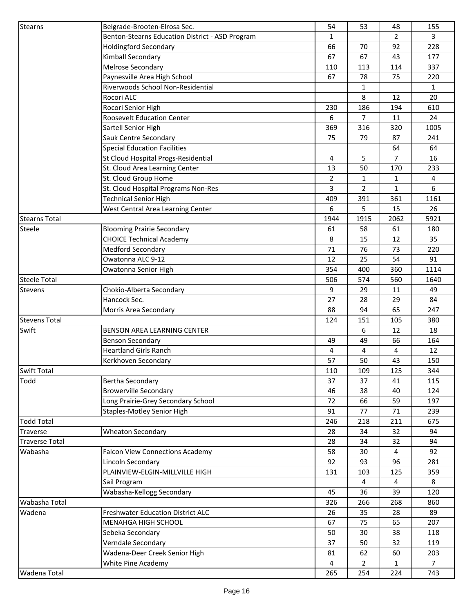| Stearns               | Belgrade-Brooten-Elrosa Sec.                    | 54             | 53             | 48             | 155            |
|-----------------------|-------------------------------------------------|----------------|----------------|----------------|----------------|
|                       | Benton-Stearns Education District - ASD Program | $\mathbf{1}$   |                | $\overline{2}$ | 3              |
|                       | <b>Holdingford Secondary</b>                    | 66             | 70             | 92             | 228            |
|                       | Kimball Secondary                               | 67             | 67             | 43             | 177            |
|                       | <b>Melrose Secondary</b>                        | 110            | 113            | 114            | 337            |
|                       | Paynesville Area High School                    | 67             | 78             | 75             | 220            |
|                       | Riverwoods School Non-Residential               |                | $\mathbf{1}$   |                | $\mathbf{1}$   |
|                       | Rocori ALC                                      |                | 8              | 12             | 20             |
|                       | Rocori Senior High                              | 230            | 186            | 194            | 610            |
|                       | <b>Roosevelt Education Center</b>               | 6              | $\overline{7}$ | 11             | 24             |
|                       | Sartell Senior High                             | 369            | 316            | 320            | 1005           |
|                       | Sauk Centre Secondary                           | 75             | 79             | 87             | 241            |
|                       | <b>Special Education Facilities</b>             |                |                | 64             | 64             |
|                       | St Cloud Hospital Progs-Residential             | 4              | 5              | $\overline{7}$ | 16             |
|                       | St. Cloud Area Learning Center                  | 13             | 50             | 170            | 233            |
|                       | St. Cloud Group Home                            | $\overline{2}$ | $\mathbf{1}$   | $\mathbf{1}$   | 4              |
|                       | St. Cloud Hospital Programs Non-Res             | 3              | $\overline{2}$ | $\mathbf{1}$   | 6              |
|                       | <b>Technical Senior High</b>                    | 409            | 391            | 361            | 1161           |
|                       | West Central Area Learning Center               | 6              | 5              | 15             | 26             |
| <b>Stearns Total</b>  |                                                 | 1944           | 1915           | 2062           | 5921           |
| <b>Steele</b>         | <b>Blooming Prairie Secondary</b>               | 61             | 58             | 61             | 180            |
|                       | <b>CHOICE Technical Academy</b>                 | 8              | 15             | 12             | 35             |
|                       | <b>Medford Secondary</b>                        | 71             | 76             | 73             | 220            |
|                       | Owatonna ALC 9-12                               | 12             | 25             | 54             | 91             |
|                       | Owatonna Senior High                            | 354            | 400            | 360            | 1114           |
| <b>Steele Total</b>   |                                                 | 506            | 574            | 560            | 1640           |
| Stevens               | Chokio-Alberta Secondary                        | 9              | 29             | 11             | 49             |
|                       | Hancock Sec.                                    | 27             | 28             | 29             | 84             |
|                       | Morris Area Secondary                           | 88             | 94             | 65             | 247            |
| <b>Stevens Total</b>  |                                                 | 124            | 151            | 105            | 380            |
| Swift                 | <b>BENSON AREA LEARNING CENTER</b>              |                | 6              | 12             | 18             |
|                       | <b>Benson Secondary</b>                         | 49             | 49             | 66             | 164            |
|                       | <b>Heartland Girls Ranch</b>                    | 4              | 4              | 4              | 12             |
|                       | Kerkhoven Secondary                             | 57             | 50             | 43             | 150            |
| <b>Swift Total</b>    |                                                 | 110            | 109            | 125            | 344            |
| Todd                  | Bertha Secondary                                | 37             | 37             | 41             | 115            |
|                       | <b>Browerville Secondary</b>                    | 46             | 38             | 40             | 124            |
|                       | Long Prairie-Grey Secondary School              | 72             | 66             | 59             | 197            |
|                       | <b>Staples-Motley Senior High</b>               | 91             | 77             | 71             | 239            |
| <b>Todd Total</b>     |                                                 | 246            | 218            | 211            | 675            |
| Traverse              | <b>Wheaton Secondary</b>                        | 28             | 34             | 32             | 94             |
| <b>Traverse Total</b> |                                                 | 28             | 34             | 32             | 94             |
| Wabasha               | <b>Falcon View Connections Academy</b>          | 58             | 30             | $\overline{4}$ | 92             |
|                       | Lincoln Secondary                               | 92             | 93             | 96             | 281            |
|                       | PLAINVIEW-ELGIN-MILLVILLE HIGH                  | 131            | 103            | 125            | 359            |
|                       | Sail Program                                    |                | 4              | 4              | 8              |
|                       | Wabasha-Kellogg Secondary                       | 45             | 36             | 39             | 120            |
| Wabasha Total         |                                                 | 326            | 266            | 268            | 860            |
| Wadena                | <b>Freshwater Education District ALC</b>        | 26             | 35             | 28             | 89             |
|                       | MENAHGA HIGH SCHOOL                             | 67             | 75             | 65             | 207            |
|                       | Sebeka Secondary                                | 50             | 30             | 38             | 118            |
|                       | Verndale Secondary                              | 37             | 50             | 32             | 119            |
|                       | Wadena-Deer Creek Senior High                   | 81             | 62             | 60             | 203            |
|                       | White Pine Academy                              | 4              | $\overline{2}$ | $\mathbf{1}$   | $\overline{7}$ |
| Wadena Total          |                                                 | 265            | 254            | 224            | 743            |
|                       |                                                 |                |                |                |                |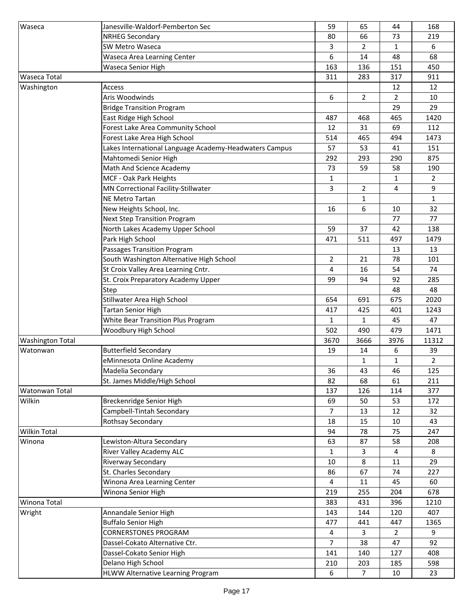| Waseca                  | Janesville-Waldorf-Pemberton Sec                       | 59             | 65             | 44             | 168            |
|-------------------------|--------------------------------------------------------|----------------|----------------|----------------|----------------|
|                         | <b>NRHEG Secondary</b>                                 | 80             | 66             | 73             | 219            |
|                         | SW Metro Waseca                                        | 3              | $\overline{2}$ | 1              | 6              |
|                         | Waseca Area Learning Center                            | 6              | 14             | 48             | 68             |
|                         | Waseca Senior High                                     | 163            | 136            | 151            | 450            |
| <b>Waseca Total</b>     |                                                        | 311            | 283            | 317            | 911            |
| Washington              | Access                                                 |                |                | 12             | 12             |
|                         | Aris Woodwinds                                         | 6              | $\overline{2}$ | $\overline{2}$ | 10             |
|                         | <b>Bridge Transition Program</b>                       |                |                | 29             | 29             |
|                         | East Ridge High School                                 | 487            | 468            | 465            | 1420           |
|                         | Forest Lake Area Community School                      | 12             | 31             | 69             | 112            |
|                         | Forest Lake Area High School                           | 514            | 465            | 494            | 1473           |
|                         | Lakes International Language Academy-Headwaters Campus | 57             | 53             | 41             | 151            |
|                         | Mahtomedi Senior High                                  | 292            | 293            | 290            | 875            |
|                         | Math And Science Academy                               | 73             | 59             | 58             | 190            |
|                         | MCF - Oak Park Heights                                 | $\mathbf{1}$   |                | 1              | $\overline{2}$ |
|                         | MN Correctional Facility-Stillwater                    | 3              | $\overline{2}$ | 4              | 9              |
|                         | <b>NE Metro Tartan</b>                                 |                | 1              |                | $\mathbf{1}$   |
|                         | New Heights School, Inc.                               | 16             | 6              | 10             | 32             |
|                         | <b>Next Step Transition Program</b>                    |                |                | 77             | 77             |
|                         | North Lakes Academy Upper School                       | 59             | 37             | 42             | 138            |
|                         | Park High School                                       | 471            | 511            | 497            | 1479           |
|                         | Passages Transition Program                            |                |                | 13             | 13             |
|                         | South Washington Alternative High School               | $\overline{2}$ | 21             | 78             | 101            |
|                         | St Croix Valley Area Learning Cntr.                    | 4              | 16             | 54             | 74             |
|                         | St. Croix Preparatory Academy Upper                    | 99             | 94             | 92             | 285            |
|                         | Step                                                   |                |                | 48             | 48             |
|                         | Stillwater Area High School                            | 654            | 691            | 675            | 2020           |
|                         | Tartan Senior High                                     | 417            | 425            | 401            | 1243           |
|                         | <b>White Bear Transition Plus Program</b>              | $\mathbf{1}$   | $\mathbf{1}$   | 45             | 47             |
|                         | Woodbury High School                                   | 502            | 490            | 479            | 1471           |
| <b>Washington Total</b> |                                                        | 3670           | 3666           | 3976           | 11312          |
| Watonwan                | <b>Butterfield Secondary</b>                           | 19             | 14             | 6              | 39             |
|                         | eMinnesota Online Academy                              |                | 1              | 1              | $\overline{2}$ |
|                         | Madelia Secondary                                      | 36             | 43             | 46             | 125            |
|                         | St. James Middle/High School                           | 82             | 68             | 61             | 211            |
| Watonwan Total          |                                                        | 137            | 126            | 114            | 377            |
| Wilkin                  | Breckenridge Senior High                               | 69             | 50             | 53             | 172            |
|                         | Campbell-Tintah Secondary                              | $\overline{7}$ | 13             | 12             | 32             |
|                         | Rothsay Secondary                                      | 18             | 15             | 10             | 43             |
| <b>Wilkin Total</b>     |                                                        | 94             | 78             | 75             | 247            |
| Winona                  | Lewiston-Altura Secondary                              | 63             | 87             | 58             | 208            |
|                         | River Valley Academy ALC                               | $\mathbf{1}$   | 3              | 4              | 8              |
|                         | Riverway Secondary                                     | 10             | 8              | 11             | 29             |
|                         | St. Charles Secondary                                  | 86             | 67             | 74             | 227            |
|                         | Winona Area Learning Center                            | 4              | 11             | 45             | 60             |
|                         | Winona Senior High                                     | 219            | 255            | 204            | 678            |
| Winona Total            |                                                        | 383            | 431            | 396            | 1210           |
| Wright                  | Annandale Senior High                                  | 143            | 144            | 120            | 407            |
|                         | <b>Buffalo Senior High</b>                             | 477            | 441            | 447            | 1365           |
|                         | <b>CORNERSTONES PROGRAM</b>                            | 4              | 3              | 2              | 9              |
|                         | Dassel-Cokato Alternative Ctr.                         | 7              | 38             | 47             | 92             |
|                         | Dassel-Cokato Senior High                              | 141            | 140            | 127            | 408            |
|                         | Delano High School                                     | 210            | 203            | 185            | 598            |
|                         | HLWW Alternative Learning Program                      | 6              | $\overline{7}$ | 10             | 23             |